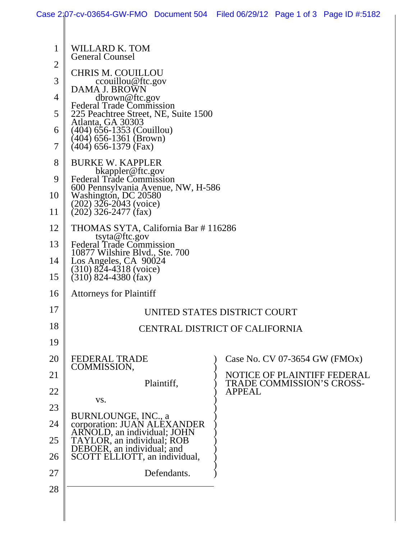|    | Case 2:07-cv-03654-GW-FMO Document 504 Filed 06/29/12 Page 1 of 3 Page ID #:5182  |             |               |                                  |                             |
|----|-----------------------------------------------------------------------------------|-------------|---------------|----------------------------------|-----------------------------|
|    |                                                                                   |             |               |                                  |                             |
| 1  | WILLARD K. TOM<br><b>General Counsel</b>                                          |             |               |                                  |                             |
| 2  | <b>CHRIS M. COUILLOU</b>                                                          |             |               |                                  |                             |
| 3  | ccouillou@ftc.gov                                                                 |             |               |                                  |                             |
| 4  | DAMA J. BROWN<br>dbrown@ftc.gov                                                   |             |               |                                  |                             |
| 5  | <b>Federal Trade Commission</b><br>225 Peachtree Street, NE, Suite 1500           |             |               |                                  |                             |
| 6  | Atlanta, GA 30303<br>(404) 656-1353 (Couillou)                                    |             |               |                                  |                             |
| 7  | (404) 656-1361 (Brown)<br>(404) 656-1379 (Fax)                                    |             |               |                                  |                             |
| 8  | <b>BURKE W. KAPPLER</b><br>bkappler@ftc.gov                                       |             |               |                                  |                             |
| 9  | <b>Federal Trade Commission</b><br>600 Pennsylvania Avenue, NW, H-586             |             |               |                                  |                             |
| 10 | Washington, DC 20580<br>$(202)$ 326-2043 (voice)                                  |             |               |                                  |                             |
| 11 | $(202)$ 326-2477 (fax)                                                            |             |               |                                  |                             |
| 12 | THOMAS SYTA, California Bar #116286                                               |             |               |                                  |                             |
| 13 | tsyta@ftc.gov<br><b>Federal Trade Commission</b>                                  |             |               |                                  |                             |
| 14 | 10877 Wilshire Blvd., Ste. 700<br>Los Angeles, CA 90024<br>(310) 824-4318 (voice) |             |               |                                  |                             |
| 15 | $(310)$ 824-4380 (fax)                                                            |             |               |                                  |                             |
| 16 | <b>Attorneys for Plaintiff</b>                                                    |             |               |                                  |                             |
| 17 | UNITED STATES DISTRICT COURT                                                      |             |               |                                  |                             |
| 18 | CENTRAL DISTRICT OF CALIFORNIA                                                    |             |               |                                  |                             |
| 19 |                                                                                   |             |               |                                  |                             |
| 20 | <b>FEDERAL TRADE</b><br>COMMISSION,                                               |             |               | Case No. CV 07-3654 GW (FMOx)    |                             |
| 21 |                                                                                   | Plaintiff,  |               | <b>TRADE COMMISSION'S CROSS-</b> | NOTICE OF PLAINTIFF FEDERAL |
| 22 |                                                                                   |             | <b>APPEAL</b> |                                  |                             |
| 23 | VS.                                                                               |             |               |                                  |                             |
| 24 | BURNLOUNGE, INC., a<br>corporation: JUAN ALÉXANDER<br>ARNOLD, an individual; JOHN |             |               |                                  |                             |
| 25 | TAYLOR, an individual; ROB                                                        |             |               |                                  |                             |
| 26 | DEBOER, an individual; and<br>SCOTT ELLIOTT, an individual,                       |             |               |                                  |                             |
| 27 |                                                                                   | Defendants. |               |                                  |                             |
| 28 |                                                                                   |             |               |                                  |                             |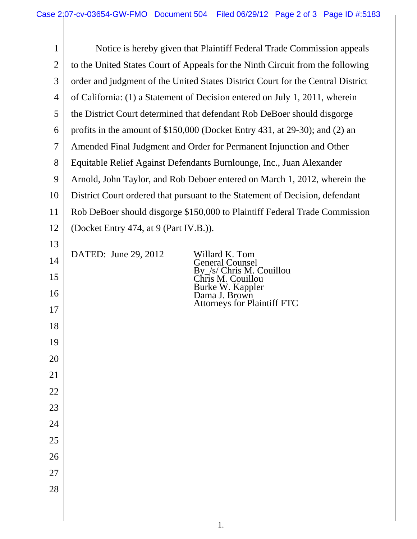1 2 3 4 5 6 7 8 9 10 11 12 13 14 15 16 17 18 19 20 21 22 23 24 25 26 27 28 Notice is hereby given that Plaintiff Federal Trade Commission appeals to the United States Court of Appeals for the Ninth Circuit from the following order and judgment of the United States District Court for the Central District of California: (1) a Statement of Decision entered on July 1, 2011, wherein the District Court determined that defendant Rob DeBoer should disgorge profits in the amount of \$150,000 (Docket Entry 431, at 29-30); and (2) an Amended Final Judgment and Order for Permanent Injunction and Other Equitable Relief Against Defendants Burnlounge, Inc., Juan Alexander Arnold, John Taylor, and Rob Deboer entered on March 1, 2012, wherein the District Court ordered that pursuant to the Statement of Decision, defendant Rob DeBoer should disgorge \$150,000 to Plaintiff Federal Trade Commission (Docket Entry 474, at 9 (Part IV.B.)). DATED: June 29, 2012 Willard K. Tom General Counsel By\_/s/ Chris M. Couillou Chris M. Couillou Burke W. Kappler Dama J. Brown Attorneys for Plaintiff FTC